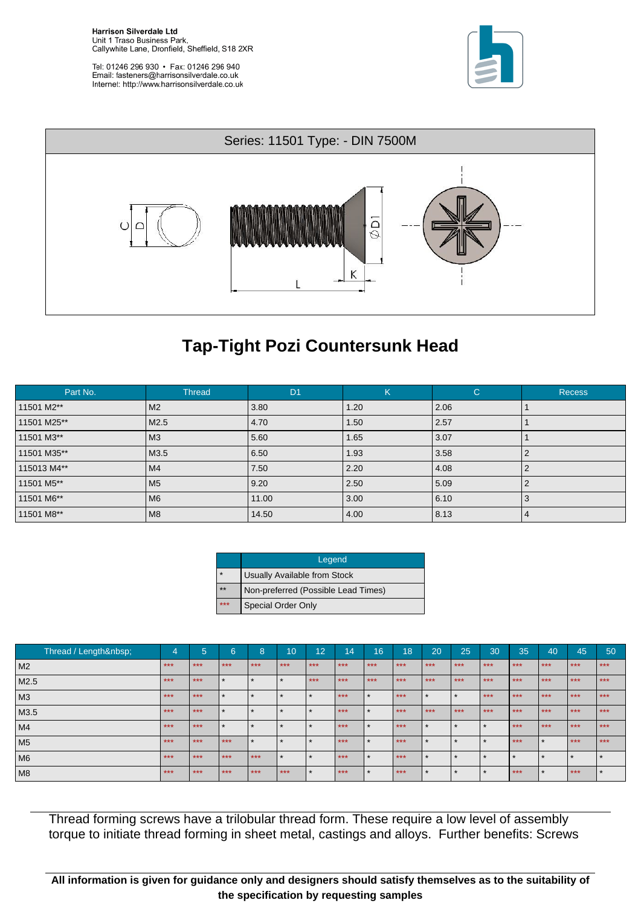**Harrison Silverdale Ltd** Unit 1 Traso Business Park, Callywhite Lane, Dronfield, Sheffield, S18 2XR

Tel: 01246 296 930 · Fax: 01246 296 940 Email: fasteners@harrisonsilverdale.co.uk Internet: http://www.harrisonsilverdale.co.uk





## **Tap-Tight Pozi Countersunk Head**

| Part No.    | <b>Thread</b>  | D <sub>1</sub> | K    | $\mathsf{C}$ | <b>Recess</b> |
|-------------|----------------|----------------|------|--------------|---------------|
| 11501 M2**  | M <sub>2</sub> | 3.80           | 1.20 | 2.06         |               |
| 11501 M25** | M2.5           | 4.70           | 1.50 | 2.57         |               |
| 11501 M3**  | M <sub>3</sub> | 5.60           | 1.65 | 3.07         |               |
| 11501 M35** | M3.5           | 6.50           | 1.93 | 3.58         |               |
| 115013 M4** | M4             | 7.50           | 2.20 | 4.08         |               |
| 11501 M5**  | M <sub>5</sub> | 9.20           | 2.50 | 5.09         |               |
| 11501 M6**  | M <sub>6</sub> | 11.00          | 3.00 | 6.10         | З             |
| 11501 M8**  | M <sub>8</sub> | 14.50          | 4.00 | 8.13         | 4             |

|         | Legend                              |
|---------|-------------------------------------|
| $\star$ | Usually Available from Stock        |
| **      | Non-preferred (Possible Lead Times) |
| ***     | <b>Special Order Only</b>           |

| Thread / Length | 4       | 5     | 6       | 8                    | 10    | 12                   | 14    | 16      | 18    | 20             | 25             | 30    | 35    | 40      | 45      | 50      |
|-----------------|---------|-------|---------|----------------------|-------|----------------------|-------|---------|-------|----------------|----------------|-------|-------|---------|---------|---------|
| M2              | $* * *$ | $***$ | $***$   | $***$                | $***$ | $***$                | $***$ | $***$   | $***$ | $***$          | $***$          | $***$ | $***$ | $***$   | $***$   | $***$   |
| M2.5            | $***$   | $***$ | $\star$ | $\star$              |       | $***$                | $***$ | $***$   | $***$ | $***$          | $***$          | $***$ | $***$ | $***$   | $***$   | $***$   |
| M3              | $***$   | $***$ | $\star$ | $\star$              |       | $\ddot{\phantom{1}}$ | $***$ | $\star$ | $***$ | $\overline{v}$ | ÷              | $***$ | $***$ | $***$   | $***$   | $***$   |
| M3.5            | $***$   | $***$ | - 1     | $\star$              |       |                      | $***$ |         | $***$ | $***$          | $***$          | $***$ | $***$ | $***$   | $***$   | $***$   |
| M4              | $***$   | $***$ |         | $\ddot{\phantom{1}}$ |       | ÷                    | $***$ |         | $***$ |                |                |       | $***$ | $***$   | $***$   | $***$   |
| M5              | $***$   | $***$ | $***$   | $\star$              |       | $\star$              | $***$ |         | $***$ |                | A.             |       | $***$ | $\star$ | $***$   | $***$   |
| M <sub>6</sub>  | $***$   | $***$ | $***$   | $***$                |       | $\star$              | $***$ |         | $***$ | $\star$        | $\overline{v}$ |       |       | $\star$ | $\star$ | $\star$ |
| M <sub>8</sub>  | $***$   | $***$ | $***$   | $***$                | $***$ | $\ddot{\phantom{1}}$ | $***$ |         | $***$ |                |                |       | $***$ | $\star$ | $***$   | $\star$ |

Thread forming screws have a trilobular thread form. These require a low level of assembly torque to initiate thread forming in sheet metal, castings and alloys. Further benefits: Screws

**All information is given for guidance only and designers should satisfy themselves as to the suitability of the specification by requesting samples**